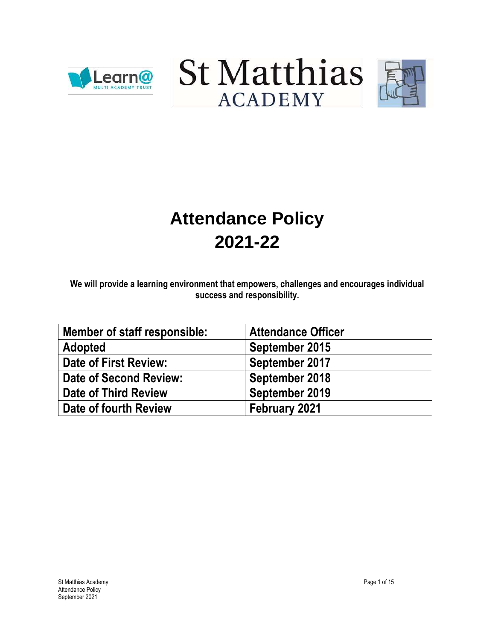





# **Attendance Policy 2021-22**

**We will provide a learning environment that empowers, challenges and encourages individual success and responsibility.**

| Member of staff responsible: | <b>Attendance Officer</b> |
|------------------------------|---------------------------|
| <b>Adopted</b>               | September 2015            |
| Date of First Review:        | September 2017            |
| Date of Second Review:       | September 2018            |
| Date of Third Review         | September 2019            |
| Date of fourth Review        | February 2021             |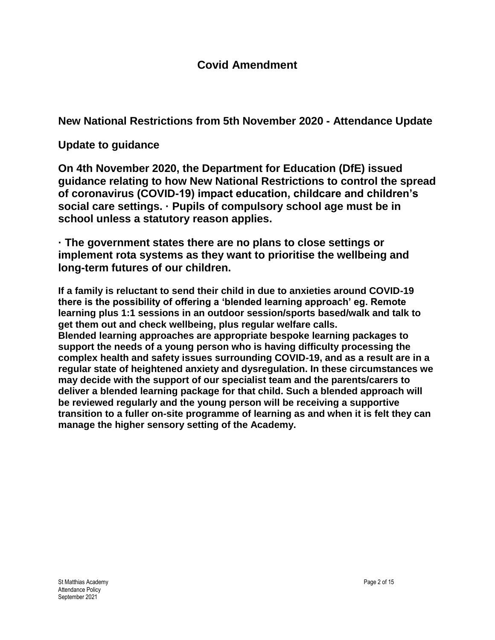**New National Restrictions from 5th November 2020 - Attendance Update**

**Update to guidance**

**On 4th November 2020, the Department for Education (DfE) issued guidance relating to how New National Restrictions to control the spread of coronavirus (COVID-19) impact education, childcare and children's social care settings. · Pupils of compulsory school age must be in school unless a statutory reason applies.**

**· The government states there are no plans to close settings or implement rota systems as they want to prioritise the wellbeing and long-term futures of our children.**

**If a family is reluctant to send their child in due to anxieties around COVID-19 there is the possibility of offering a 'blended learning approach' eg. Remote learning plus 1:1 sessions in an outdoor session/sports based/walk and talk to get them out and check wellbeing, plus regular welfare calls. Blended learning approaches are appropriate bespoke learning packages to support the needs of a young person who is having difficulty processing the complex health and safety issues surrounding COVID-19, and as a result are in a regular state of heightened anxiety and dysregulation. In these circumstances we may decide with the support of our specialist team and the parents/carers to deliver a blended learning package for that child. Such a blended approach will be reviewed regularly and the young person will be receiving a supportive transition to a fuller on-site programme of learning as and when it is felt they can manage the higher sensory setting of the Academy.**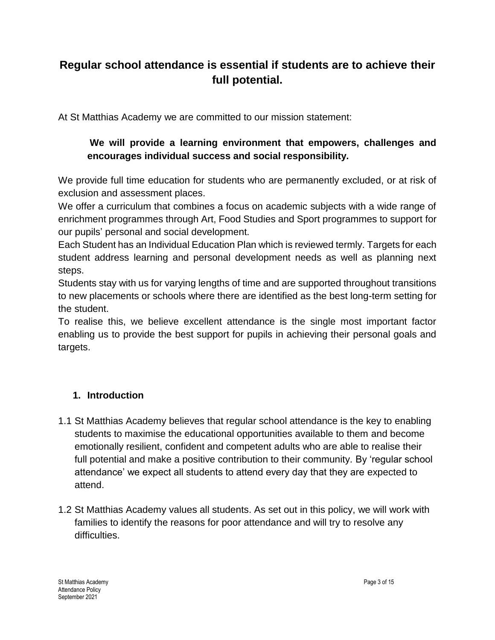# **Regular school attendance is essential if students are to achieve their full potential.**

At St Matthias Academy we are committed to our mission statement:

#### **We will provide a learning environment that empowers, challenges and encourages individual success and social responsibility.**

We provide full time education for students who are permanently excluded, or at risk of exclusion and assessment places.

We offer a curriculum that combines a focus on academic subjects with a wide range of enrichment programmes through Art, Food Studies and Sport programmes to support for our pupils' personal and social development.

Each Student has an Individual Education Plan which is reviewed termly. Targets for each student address learning and personal development needs as well as planning next steps.

Students stay with us for varying lengths of time and are supported throughout transitions to new placements or schools where there are identified as the best long-term setting for the student.

To realise this, we believe excellent attendance is the single most important factor enabling us to provide the best support for pupils in achieving their personal goals and targets.

#### **1. Introduction**

- 1.1 St Matthias Academy believes that regular school attendance is the key to enabling students to maximise the educational opportunities available to them and become emotionally resilient, confident and competent adults who are able to realise their full potential and make a positive contribution to their community. By 'regular school attendance' we expect all students to attend every day that they are expected to attend.
- 1.2 St Matthias Academy values all students. As set out in this policy, we will work with families to identify the reasons for poor attendance and will try to resolve any difficulties.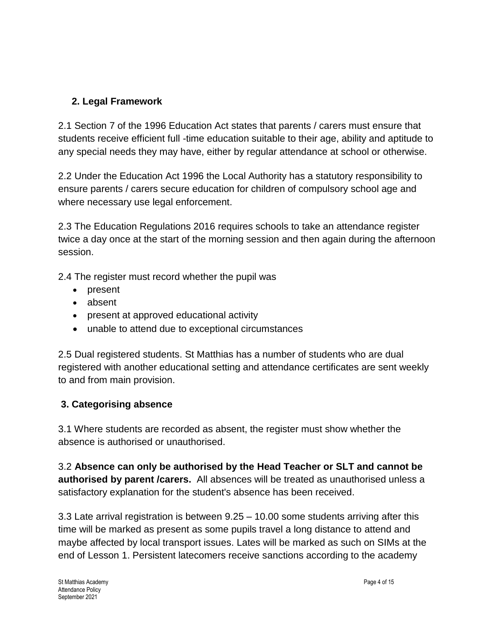#### **2. Legal Framework**

2.1 Section 7 of the 1996 Education Act states that parents / carers must ensure that students receive efficient full -time education suitable to their age, ability and aptitude to any special needs they may have, either by regular attendance at school or otherwise.

2.2 Under the Education Act 1996 the Local Authority has a statutory responsibility to ensure parents / carers secure education for children of compulsory school age and where necessary use legal enforcement.

2.3 The Education Regulations 2016 requires schools to take an attendance register twice a day once at the start of the morning session and then again during the afternoon session.

2.4 The register must record whether the pupil was

- present
- absent
- present at approved educational activity
- unable to attend due to exceptional circumstances

2.5 Dual registered students. St Matthias has a number of students who are dual registered with another educational setting and attendance certificates are sent weekly to and from main provision.

#### **3. Categorising absence**

3.1 Where students are recorded as absent, the register must show whether the absence is authorised or unauthorised.

3.2 **Absence can only be authorised by the Head Teacher or SLT and cannot be authorised by parent /carers.** All absences will be treated as unauthorised unless a satisfactory explanation for the student's absence has been received.

3.3 Late arrival registration is between 9.25 – 10.00 some students arriving after this time will be marked as present as some pupils travel a long distance to attend and maybe affected by local transport issues. Lates will be marked as such on SIMs at the end of Lesson 1. Persistent latecomers receive sanctions according to the academy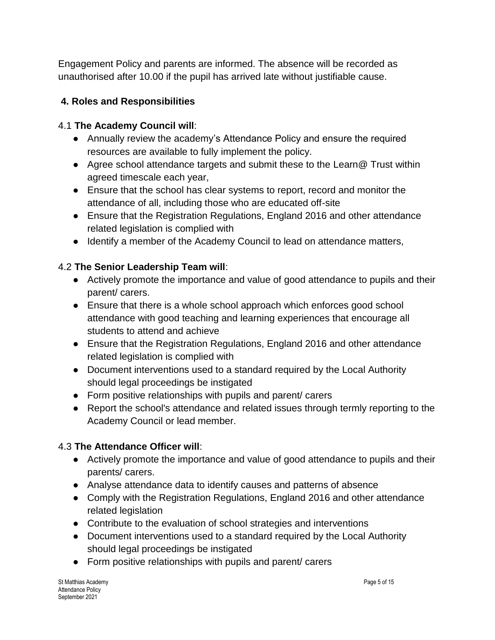Engagement Policy and parents are informed. The absence will be recorded as unauthorised after 10.00 if the pupil has arrived late without justifiable cause.

#### **4. Roles and Responsibilities**

#### 4.1 **The Academy Council will**:

- Annually review the academy's Attendance Policy and ensure the required resources are available to fully implement the policy.
- Agree school attendance targets and submit these to the Learn@ Trust within agreed timescale each year,
- Ensure that the school has clear systems to report, record and monitor the attendance of all, including those who are educated off-site
- Ensure that the Registration Regulations, England 2016 and other attendance related legislation is complied with
- Identify a member of the Academy Council to lead on attendance matters,

#### 4.2 **The Senior Leadership Team will**:

- Actively promote the importance and value of good attendance to pupils and their parent/ carers.
- Ensure that there is a whole school approach which enforces good school attendance with good teaching and learning experiences that encourage all students to attend and achieve
- Ensure that the Registration Regulations, England 2016 and other attendance related legislation is complied with
- Document interventions used to a standard required by the Local Authority should legal proceedings be instigated
- Form positive relationships with pupils and parent/ carers
- Report the school's attendance and related issues through termly reporting to the Academy Council or lead member.

#### 4.3 **The Attendance Officer will**:

- Actively promote the importance and value of good attendance to pupils and their parents/ carers.
- Analyse attendance data to identify causes and patterns of absence
- Comply with the Registration Regulations, England 2016 and other attendance related legislation
- Contribute to the evaluation of school strategies and interventions
- Document interventions used to a standard required by the Local Authority should legal proceedings be instigated
- Form positive relationships with pupils and parent/ carers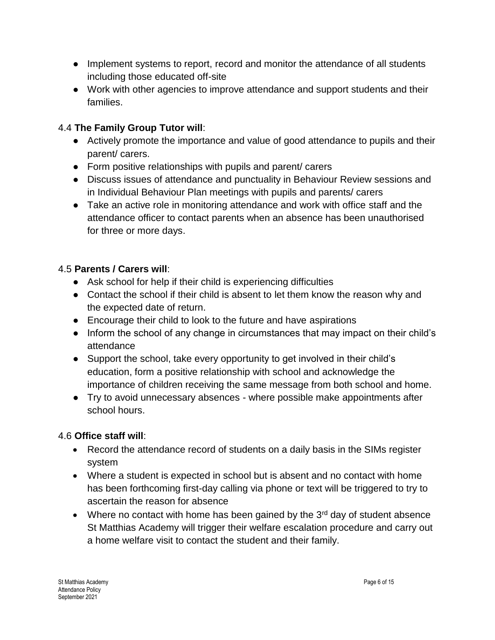- Implement systems to report, record and monitor the attendance of all students including those educated off-site
- Work with other agencies to improve attendance and support students and their families.

#### 4.4 **The Family Group Tutor will**:

- Actively promote the importance and value of good attendance to pupils and their parent/ carers.
- Form positive relationships with pupils and parent/ carers
- Discuss issues of attendance and punctuality in Behaviour Review sessions and in Individual Behaviour Plan meetings with pupils and parents/ carers
- Take an active role in monitoring attendance and work with office staff and the attendance officer to contact parents when an absence has been unauthorised for three or more days.

#### 4.5 **Parents / Carers will**:

- Ask school for help if their child is experiencing difficulties
- Contact the school if their child is absent to let them know the reason why and the expected date of return.
- Encourage their child to look to the future and have aspirations
- Inform the school of any change in circumstances that may impact on their child's attendance
- Support the school, take every opportunity to get involved in their child's education, form a positive relationship with school and acknowledge the importance of children receiving the same message from both school and home.
- Try to avoid unnecessary absences where possible make appointments after school hours.

#### 4.6 **Office staff will**:

- Record the attendance record of students on a daily basis in the SIMs register system
- Where a student is expected in school but is absent and no contact with home has been forthcoming first-day calling via phone or text will be triggered to try to ascertain the reason for absence
- Where no contact with home has been gained by the  $3<sup>rd</sup>$  day of student absence St Matthias Academy will trigger their welfare escalation procedure and carry out a home welfare visit to contact the student and their family.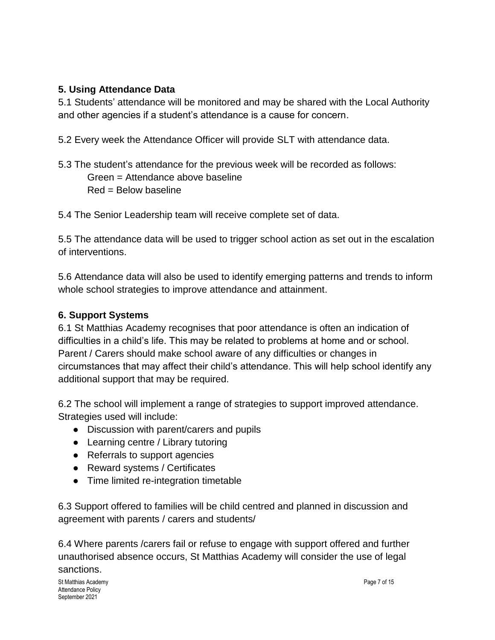#### **5. Using Attendance Data**

5.1 Students' attendance will be monitored and may be shared with the Local Authority and other agencies if a student's attendance is a cause for concern.

5.2 Every week the Attendance Officer will provide SLT with attendance data.

5.3 The student's attendance for the previous week will be recorded as follows: Green = Attendance above baseline Red = Below baseline

5.4 The Senior Leadership team will receive complete set of data.

5.5 The attendance data will be used to trigger school action as set out in the escalation of interventions.

5.6 Attendance data will also be used to identify emerging patterns and trends to inform whole school strategies to improve attendance and attainment.

#### **6. Support Systems**

6.1 St Matthias Academy recognises that poor attendance is often an indication of difficulties in a child's life. This may be related to problems at home and or school. Parent / Carers should make school aware of any difficulties or changes in circumstances that may affect their child's attendance. This will help school identify any additional support that may be required.

6.2 The school will implement a range of strategies to support improved attendance. Strategies used will include:

- Discussion with parent/carers and pupils
- Learning centre / Library tutoring
- Referrals to support agencies
- Reward systems / Certificates
- Time limited re-integration timetable

6.3 Support offered to families will be child centred and planned in discussion and agreement with parents / carers and students/

6.4 Where parents /carers fail or refuse to engage with support offered and further unauthorised absence occurs, St Matthias Academy will consider the use of legal sanctions.

St Matthias Academy **Page 7 of 15** and the state of the state of the state of the state of the state of the state of the state of the state of the state of the state of the state of the state of the state of the state of t Attendance Policy September 2021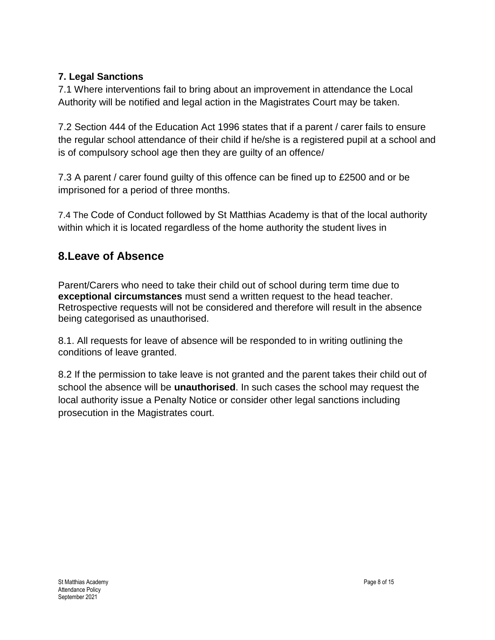#### **7. Legal Sanctions**

7.1 Where interventions fail to bring about an improvement in attendance the Local Authority will be notified and legal action in the Magistrates Court may be taken.

7.2 Section 444 of the Education Act 1996 states that if a parent / carer fails to ensure the regular school attendance of their child if he/she is a registered pupil at a school and is of compulsory school age then they are guilty of an offence/

7.3 A parent / carer found guilty of this offence can be fined up to £2500 and or be imprisoned for a period of three months.

7.4 The Code of Conduct followed by St Matthias Academy is that of the local authority within which it is located regardless of the home authority the student lives in

### **8.Leave of Absence**

Parent/Carers who need to take their child out of school during term time due to **exceptional circumstances** must send a written request to the head teacher. Retrospective requests will not be considered and therefore will result in the absence being categorised as unauthorised.

8.1. All requests for leave of absence will be responded to in writing outlining the conditions of leave granted.

8.2 If the permission to take leave is not granted and the parent takes their child out of school the absence will be **unauthorised**. In such cases the school may request the local authority issue a Penalty Notice or consider other legal sanctions including prosecution in the Magistrates court.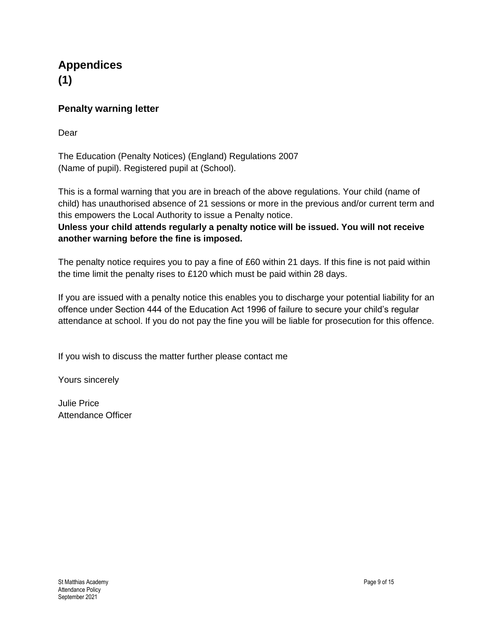#### **Appendices (1)**

#### **Penalty warning letter**

Dear

The Education (Penalty Notices) (England) Regulations 2007 (Name of pupil). Registered pupil at (School).

This is a formal warning that you are in breach of the above regulations. Your child (name of child) has unauthorised absence of 21 sessions or more in the previous and/or current term and this empowers the Local Authority to issue a Penalty notice.

**Unless your child attends regularly a penalty notice will be issued. You will not receive another warning before the fine is imposed.**

The penalty notice requires you to pay a fine of £60 within 21 days. If this fine is not paid within the time limit the penalty rises to £120 which must be paid within 28 days.

If you are issued with a penalty notice this enables you to discharge your potential liability for an offence under Section 444 of the Education Act 1996 of failure to secure your child's regular attendance at school. If you do not pay the fine you will be liable for prosecution for this offence.

If you wish to discuss the matter further please contact me

Yours sincerely

Julie Price Attendance Officer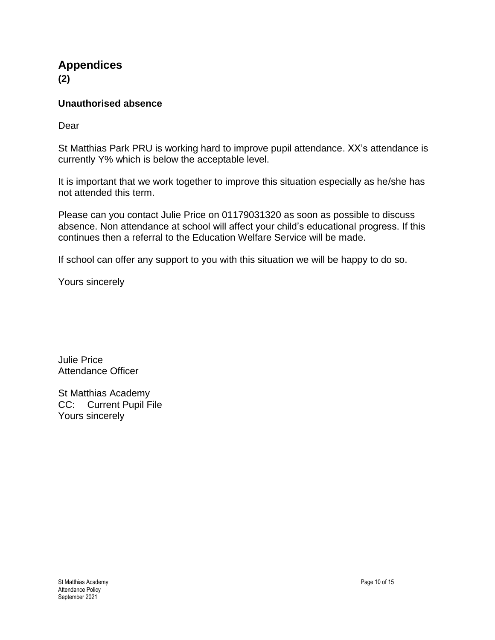# **Appendices**

**(2)**

#### **Unauthorised absence**

Dear

St Matthias Park PRU is working hard to improve pupil attendance. XX's attendance is currently Y% which is below the acceptable level.

It is important that we work together to improve this situation especially as he/she has not attended this term.

Please can you contact Julie Price on 01179031320 as soon as possible to discuss absence. Non attendance at school will affect your child's educational progress. If this continues then a referral to the Education Welfare Service will be made.

If school can offer any support to you with this situation we will be happy to do so.

Yours sincerely

Julie Price Attendance Officer

St Matthias Academy CC: Current Pupil File Yours sincerely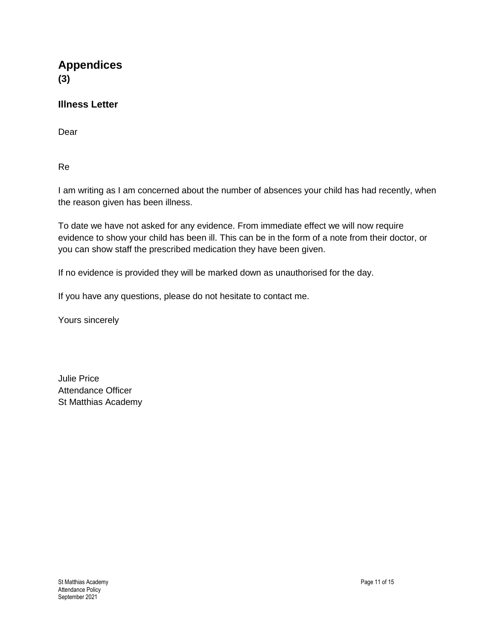**Appendices (3)**

#### **Illness Letter**

Dear

Re

I am writing as I am concerned about the number of absences your child has had recently, when the reason given has been illness.

To date we have not asked for any evidence. From immediate effect we will now require evidence to show your child has been ill. This can be in the form of a note from their doctor, or you can show staff the prescribed medication they have been given.

If no evidence is provided they will be marked down as unauthorised for the day.

If you have any questions, please do not hesitate to contact me.

Yours sincerely

Julie Price Attendance Officer St Matthias Academy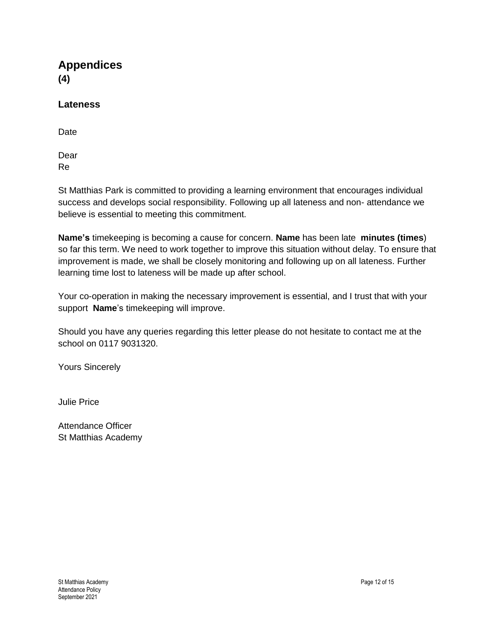**Appendices (4)**

#### **Lateness**

Date

Dear Re

St Matthias Park is committed to providing a learning environment that encourages individual success and develops social responsibility. Following up all lateness and non- attendance we believe is essential to meeting this commitment.

**Name's** timekeeping is becoming a cause for concern. **Name** has been late **minutes (times**) so far this term. We need to work together to improve this situation without delay. To ensure that improvement is made, we shall be closely monitoring and following up on all lateness. Further learning time lost to lateness will be made up after school.

Your co-operation in making the necessary improvement is essential, and I trust that with your support **Name**'s timekeeping will improve.

Should you have any queries regarding this letter please do not hesitate to contact me at the school on 0117 9031320.

Yours Sincerely

Julie Price

Attendance Officer St Matthias Academy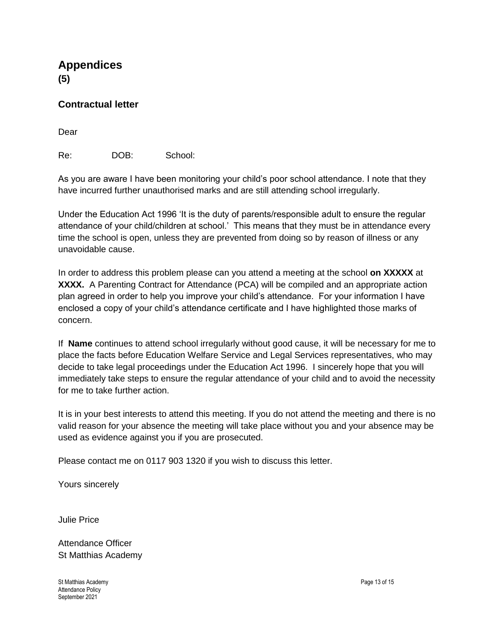**Appendices (5)**

**Contractual letter** 

Dear

Re: DOB: School:

As you are aware I have been monitoring your child's poor school attendance. I note that they have incurred further unauthorised marks and are still attending school irregularly.

Under the Education Act 1996 'It is the duty of parents/responsible adult to ensure the regular attendance of your child/children at school.' This means that they must be in attendance every time the school is open, unless they are prevented from doing so by reason of illness or any unavoidable cause.

In order to address this problem please can you attend a meeting at the school **on XXXXX** at **XXXX.** A Parenting Contract for Attendance (PCA) will be compiled and an appropriate action plan agreed in order to help you improve your child's attendance. For your information I have enclosed a copy of your child's attendance certificate and I have highlighted those marks of concern.

If **Name** continues to attend school irregularly without good cause, it will be necessary for me to place the facts before Education Welfare Service and Legal Services representatives, who may decide to take legal proceedings under the Education Act 1996. I sincerely hope that you will immediately take steps to ensure the regular attendance of your child and to avoid the necessity for me to take further action.

It is in your best interests to attend this meeting. If you do not attend the meeting and there is no valid reason for your absence the meeting will take place without you and your absence may be used as evidence against you if you are prosecuted.

Please contact me on 0117 903 1320 if you wish to discuss this letter.

Yours sincerely

Julie Price

Attendance Officer St Matthias Academy

St Matthias Academy Page 13 of 15 Attendance Policy September 2021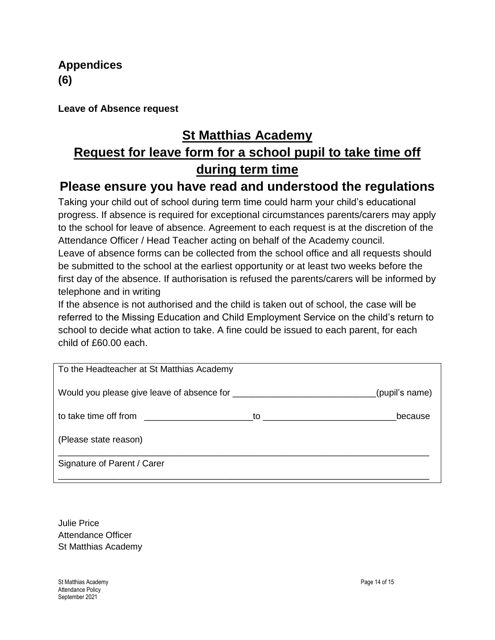**Appendices (6)**

**Leave of Absence request**

# **St Matthias Academy**

# **Request for leave form for a school pupil to take time off during term time**

# **Please ensure you have read and understood the regulations**

Taking your child out of school during term time could harm your child's educational progress. If absence is required for exceptional circumstances parents/carers may apply to the school for leave of absence. Agreement to each request is at the discretion of the Attendance Officer / Head Teacher acting on behalf of the Academy council.

Leave of absence forms can be collected from the school office and all requests should be submitted to the school at the earliest opportunity or at least two weeks before the first day of the absence. If authorisation is refused the parents/carers will be informed by telephone and in writing

If the absence is not authorised and the child is taken out of school, the case will be referred to the Missing Education and Child Employment Service on the child's return to school to decide what action to take. A fine could be issued to each parent, for each child of £60.00 each.

| To the Headteacher at St Matthias Academy |                                               |
|-------------------------------------------|-----------------------------------------------|
|                                           | (pupil's name)                                |
|                                           | because<br>to <u>__________________</u> _____ |
| (Please state reason)                     |                                               |
| Signature of Parent / Carer               |                                               |

Julie Price Attendance Officer St Matthias Academy